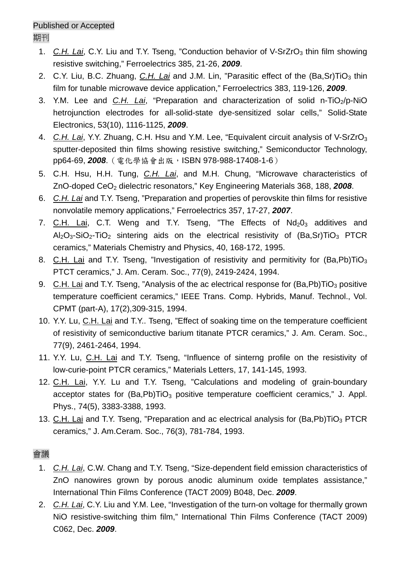## Published or Accepted

期刊

- 1. *C.H. Lai*, C.Y. Liu and T.Y. Tseng. "Conduction behavior of V-SrZrO<sub>3</sub> thin film showing resistive switching," Ferroelectrics 385, 21-26, *2009*.
- 2. C.Y. Liu, B.C. Zhuang, *C.H. Lai* and J.M. Lin, "Parasitic effect of the (Ba,Sr)TiO<sub>3</sub> thin film for tunable microwave device application," Ferroelectrics 383, 119-126, *2009*.
- 3. Y.M. Lee and *C.H. Lai*, "Preparation and characterization of solid n-TiO<sub>2</sub>/p-NiO hetrojunction electrodes for all-solid-state dye-sensitized solar cells," Solid-State Electronics, 53(10), 1116-1125, *2009*.
- 4. *C.H. Lai*, Y.Y. Zhuang, C.H. Hsu and Y.M. Lee, "Equivalent circuit analysis of V-SrZrO3 sputter-deposited thin films showing resistive switching," Semiconductor Technology, pp64-69, **2008**. (電化學協會出版, ISBN 978-988-17408-1-6)
- 5. C.H. Hsu, H.H. Tung, *C.H. Lai*, and M.H. Chung, "Microwave characteristics of ZnO-doped CeO<sub>2</sub> dielectric resonators," Key Engineering Materials 368, 188, 2008.
- 6. *C.H. Lai* and T.Y. Tseng, "Preparation and properties of perovskite thin films for resistive nonvolatile memory applications," Ferroelectrics 357, 17-27, *2007*.
- 7. C.H. Lai, C.T. Weng and T.Y. Tseng, "The Effects of  $Nd_2O_3$  additives and  $Al_2O_3-SiO_2$ -TiO<sub>2</sub> sintering aids on the electrical resistivity of (Ba,Sr)TiO<sub>3</sub> PTCR ceramics," Materials Chemistry and Physics, 40, 168-172, 1995.
- 8. C.H. Lai and T.Y. Tseng, "Investigation of resistivity and permitivity for  $(Ba,Pb)TiO<sub>3</sub>$ PTCT ceramics," J. Am. Ceram. Soc., 77(9), 2419-2424, 1994.
- 9. C.H. Lai and T.Y. Tseng, "Analysis of the ac electrical response for  $(Ba,Pb)TiO<sub>3</sub>$  positive temperature coefficient ceramics," IEEE Trans. Comp. Hybrids, Manuf. Technol., Vol. CPMT (part-A), 17(2),309-315, 1994.
- 10. Y.Y. Lu, C.H. Lai and T.Y.. Tseng, "Effect of soaking time on the temperature coefficient of resistivity of semiconductive barium titanate PTCR ceramics," J. Am. Ceram. Soc., 77(9), 2461-2464, 1994.
- 11. Y.Y. Lu, C.H. Lai and T.Y. Tseng, "Influence of sinterng profile on the resistivity of low-curie-point PTCR ceramics," Materials Letters, 17, 141-145, 1993.
- 12. C.H. Lai, Y.Y. Lu and T.Y. Tseng, "Calculations and modeling of grain-boundary acceptor states for  $(Ba, Pb)TiO<sub>3</sub>$  positive temperature coefficient ceramics," J. Appl. Phys., 74(5), 3383-3388, 1993.
- 13. C.H. Lai and T.Y. Tseng, "Preparation and ac electrical analysis for (Ba,Pb)TiO<sub>3</sub> PTCR ceramics," J. Am.Ceram. Soc., 76(3), 781-784, 1993.

會議

- 1. *C.H. Lai*, C.W. Chang and T.Y. Tseng, "Size-dependent field emission characteristics of ZnO nanowires grown by porous anodic aluminum oxide templates assistance," International Thin Films Conference (TACT 2009) B048, Dec. *2009*.
- 2. *C.H. Lai*, C.Y. Liu and Y.M. Lee, "Investigation of the turn-on voltage for thermally grown NiO resistive-switching thim film," International Thin Films Conference (TACT 2009) C062, Dec. *2009*.